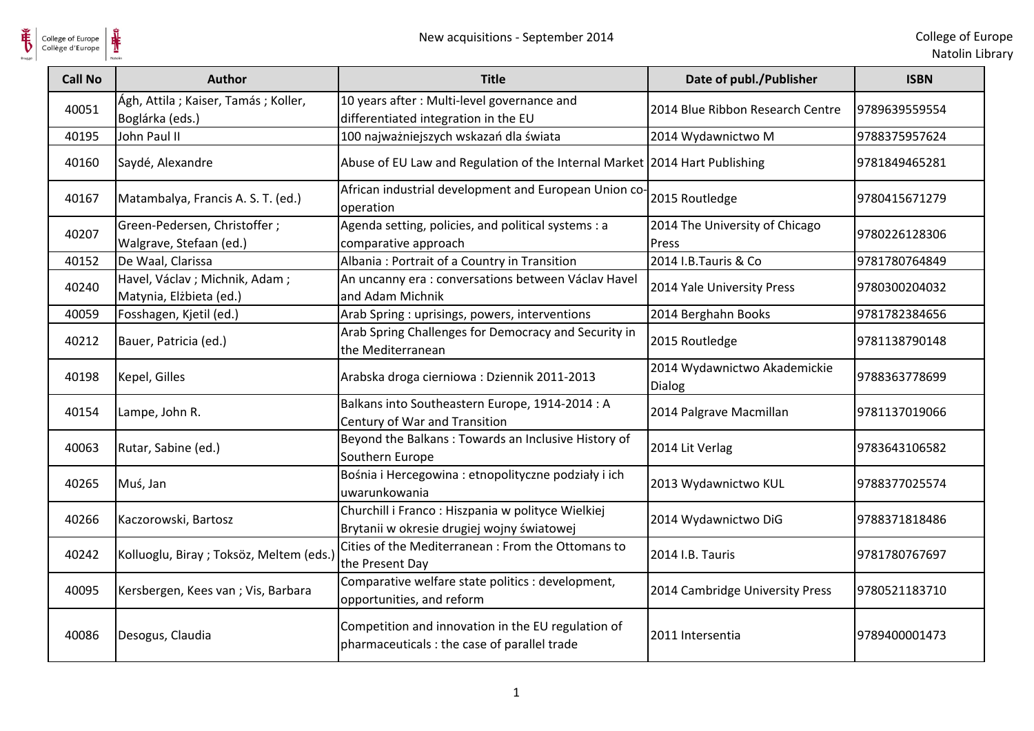

**单** 

| <b>Call No</b> | <b>Author</b>                                              | <b>Title</b>                                                                                       | Date of publ./Publisher                 | <b>ISBN</b>   |
|----------------|------------------------------------------------------------|----------------------------------------------------------------------------------------------------|-----------------------------------------|---------------|
| 40051          | Ágh, Attila; Kaiser, Tamás; Koller,<br>Boglárka (eds.)     | 10 years after : Multi-level governance and<br>differentiated integration in the EU                | 2014 Blue Ribbon Research Centre        | 9789639559554 |
| 40195          | John Paul II                                               | 100 najważniejszych wskazań dla świata                                                             | 2014 Wydawnictwo M                      | 9788375957624 |
| 40160          | Saydé, Alexandre                                           | Abuse of EU Law and Regulation of the Internal Market 2014 Hart Publishing                         |                                         | 9781849465281 |
| 40167          | Matambalya, Francis A. S. T. (ed.)                         | African industrial development and European Union co-<br>operation                                 | 2015 Routledge                          | 9780415671279 |
| 40207          | Green-Pedersen, Christoffer;<br>Walgrave, Stefaan (ed.)    | Agenda setting, policies, and political systems : a<br>comparative approach                        | 2014 The University of Chicago<br>Press | 9780226128306 |
| 40152          | De Waal, Clarissa                                          | Albania: Portrait of a Country in Transition                                                       | 2014 I.B. Tauris & Co                   | 9781780764849 |
| 40240          | Havel, Václav ; Michnik, Adam ;<br>Matynia, Elżbieta (ed.) | An uncanny era : conversations between Václav Havel<br>and Adam Michnik                            | 2014 Yale University Press              | 9780300204032 |
| 40059          | Fosshagen, Kjetil (ed.)                                    | Arab Spring : uprisings, powers, interventions                                                     | 2014 Berghahn Books                     | 9781782384656 |
| 40212          | Bauer, Patricia (ed.)                                      | Arab Spring Challenges for Democracy and Security in<br>the Mediterranean                          | 2015 Routledge                          | 9781138790148 |
| 40198          | Kepel, Gilles                                              | Arabska droga cierniowa: Dziennik 2011-2013                                                        | 2014 Wydawnictwo Akademickie<br>Dialog  | 9788363778699 |
| 40154          | Lampe, John R.                                             | Balkans into Southeastern Europe, 1914-2014 : A<br>Century of War and Transition                   | 2014 Palgrave Macmillan                 | 9781137019066 |
| 40063          | Rutar, Sabine (ed.)                                        | Beyond the Balkans: Towards an Inclusive History of<br>Southern Europe                             | 2014 Lit Verlag                         | 9783643106582 |
| 40265          | Muś, Jan                                                   | Bośnia i Hercegowina : etnopolityczne podziały i ich<br>uwarunkowania                              | 2013 Wydawnictwo KUL                    | 9788377025574 |
| 40266          | Kaczorowski, Bartosz                                       | Churchill i Franco: Hiszpania w polityce Wielkiej<br>Brytanii w okresie drugiej wojny światowej    | 2014 Wydawnictwo DiG                    | 9788371818486 |
| 40242          | Kolluoglu, Biray ; Toksöz, Meltem (eds.)                   | Cities of the Mediterranean : From the Ottomans to<br>the Present Day                              | 2014 I.B. Tauris                        | 9781780767697 |
| 40095          | Kersbergen, Kees van; Vis, Barbara                         | Comparative welfare state politics : development,<br>opportunities, and reform                     | 2014 Cambridge University Press         | 9780521183710 |
| 40086          | Desogus, Claudia                                           | Competition and innovation in the EU regulation of<br>pharmaceuticals : the case of parallel trade | 2011 Intersentia                        | 9789400001473 |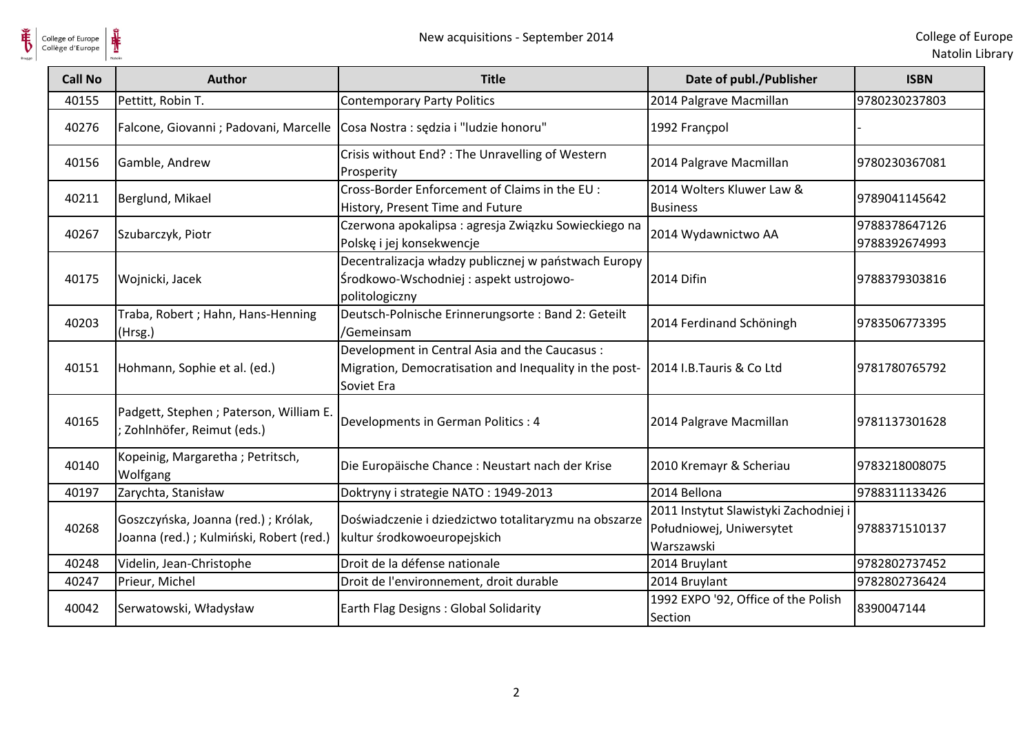

| <b>Call No</b> | <b>Author</b>                                                                   | <b>Title</b>                                                                                                          | Date of publ./Publisher                                                         | <b>ISBN</b>                    |
|----------------|---------------------------------------------------------------------------------|-----------------------------------------------------------------------------------------------------------------------|---------------------------------------------------------------------------------|--------------------------------|
| 40155          | Pettitt, Robin T.                                                               | <b>Contemporary Party Politics</b>                                                                                    | 2014 Palgrave Macmillan                                                         | 9780230237803                  |
| 40276          | Falcone, Giovanni ; Padovani, Marcelle                                          | Cosa Nostra : sędzia i "ludzie honoru"                                                                                | 1992 Francpol                                                                   |                                |
| 40156          | Gamble, Andrew                                                                  | Crisis without End? : The Unravelling of Western<br>Prosperity                                                        | 2014 Palgrave Macmillan                                                         | 9780230367081                  |
| 40211          | Berglund, Mikael                                                                | Cross-Border Enforcement of Claims in the EU :<br>History, Present Time and Future                                    | 2014 Wolters Kluwer Law &<br><b>Business</b>                                    | 9789041145642                  |
| 40267          | Szubarczyk, Piotr                                                               | Czerwona apokalipsa: agresja Związku Sowieckiego na<br>Polskę i jej konsekwencje                                      | 2014 Wydawnictwo AA                                                             | 9788378647126<br>9788392674993 |
| 40175          | Wojnicki, Jacek                                                                 | Decentralizacja władzy publicznej w państwach Europy<br>Środkowo-Wschodniej: aspekt ustrojowo-<br>politologiczny      | 2014 Difin                                                                      | 9788379303816                  |
| 40203          | Traba, Robert; Hahn, Hans-Henning<br>(Hrsg.)                                    | Deutsch-Polnische Erinnerungsorte: Band 2: Geteilt<br>/Gemeinsam                                                      | 2014 Ferdinand Schöningh                                                        | 9783506773395                  |
| 40151          | Hohmann, Sophie et al. (ed.)                                                    | Development in Central Asia and the Caucasus:<br>Migration, Democratisation and Inequality in the post-<br>Soviet Era | 2014 I.B.Tauris & Co Ltd                                                        | 9781780765792                  |
| 40165          | Padgett, Stephen ; Paterson, William E.<br>Zohlnhöfer, Reimut (eds.)            | Developments in German Politics : 4                                                                                   | 2014 Palgrave Macmillan                                                         | 9781137301628                  |
| 40140          | Kopeinig, Margaretha; Petritsch,<br>Wolfgang                                    | Die Europäische Chance : Neustart nach der Krise                                                                      | 2010 Kremayr & Scheriau                                                         | 9783218008075                  |
| 40197          | Zarychta, Stanisław                                                             | Doktryny i strategie NATO: 1949-2013                                                                                  | 2014 Bellona                                                                    | 9788311133426                  |
| 40268          | Goszczyńska, Joanna (red.); Królak,<br>Joanna (red.) ; Kulmiński, Robert (red.) | Doświadczenie i dziedzictwo totalitaryzmu na obszarze<br>kultur środkowoeuropejskich                                  | 2011 Instytut Slawistyki Zachodniej i<br>Południowej, Uniwersytet<br>Warszawski | 9788371510137                  |
| 40248          | Videlin, Jean-Christophe                                                        | Droit de la défense nationale                                                                                         | 2014 Bruylant                                                                   | 9782802737452                  |
| 40247          | Prieur, Michel                                                                  | Droit de l'environnement, droit durable                                                                               | 2014 Bruylant                                                                   | 9782802736424                  |
| 40042          | Serwatowski, Władysław                                                          | Earth Flag Designs : Global Solidarity                                                                                | 1992 EXPO '92, Office of the Polish<br>Section                                  | 8390047144                     |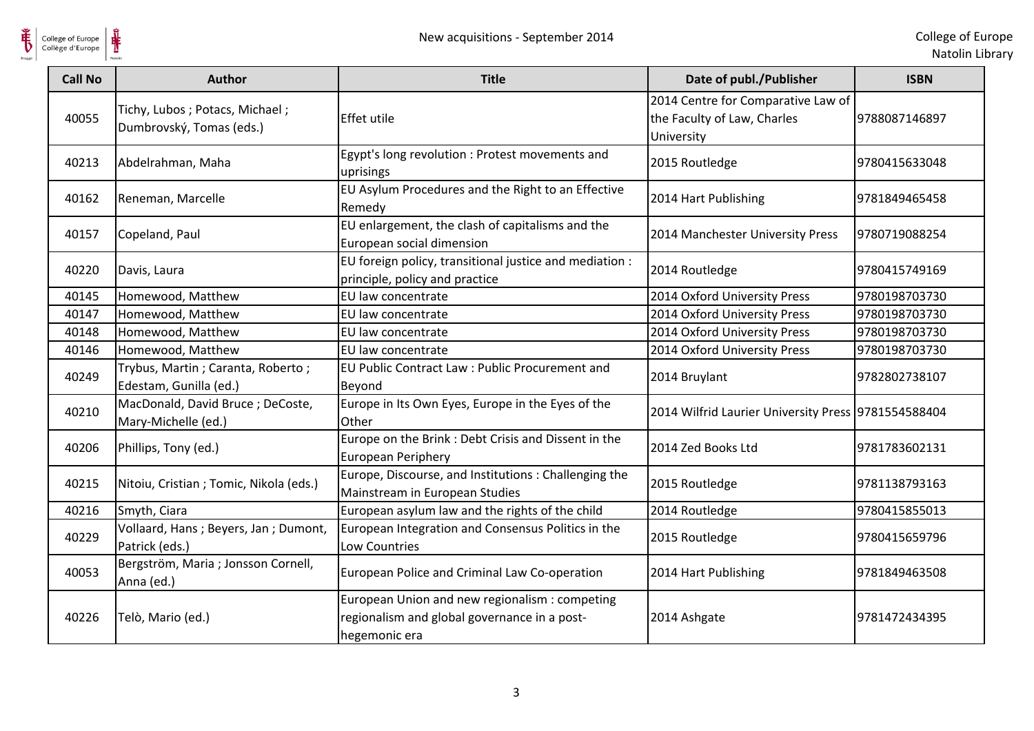

| <b>Call No</b> | <b>Author</b>                                               | <b>Title</b>                                                                                                    | Date of publ./Publisher                                                         | <b>ISBN</b>   |
|----------------|-------------------------------------------------------------|-----------------------------------------------------------------------------------------------------------------|---------------------------------------------------------------------------------|---------------|
| 40055          | Tichy, Lubos; Potacs, Michael;<br>Dumbrovský, Tomas (eds.)  | <b>Effet utile</b>                                                                                              | 2014 Centre for Comparative Law of<br>the Faculty of Law, Charles<br>University | 9788087146897 |
| 40213          | Abdelrahman, Maha                                           | Egypt's long revolution : Protest movements and<br>uprisings                                                    | 2015 Routledge                                                                  | 9780415633048 |
| 40162          | Reneman, Marcelle                                           | EU Asylum Procedures and the Right to an Effective<br>Remedy                                                    | 2014 Hart Publishing                                                            | 9781849465458 |
| 40157          | Copeland, Paul                                              | EU enlargement, the clash of capitalisms and the<br>European social dimension                                   | 2014 Manchester University Press                                                | 9780719088254 |
| 40220          | Davis, Laura                                                | EU foreign policy, transitional justice and mediation :<br>principle, policy and practice                       | 2014 Routledge                                                                  | 9780415749169 |
| 40145          | Homewood, Matthew                                           | EU law concentrate                                                                                              | 2014 Oxford University Press                                                    | 9780198703730 |
| 40147          | Homewood, Matthew                                           | EU law concentrate                                                                                              | 2014 Oxford University Press                                                    | 9780198703730 |
| 40148          | Homewood, Matthew                                           | EU law concentrate                                                                                              | 2014 Oxford University Press                                                    | 9780198703730 |
| 40146          | Homewood, Matthew                                           | EU law concentrate                                                                                              | 2014 Oxford University Press                                                    | 9780198703730 |
| 40249          | Trybus, Martin; Caranta, Roberto;<br>Edestam, Gunilla (ed.) | EU Public Contract Law: Public Procurement and<br>Beyond                                                        | 2014 Bruylant                                                                   | 9782802738107 |
| 40210          | MacDonald, David Bruce; DeCoste,<br>Mary-Michelle (ed.)     | Europe in Its Own Eyes, Europe in the Eyes of the<br>Other                                                      | 2014 Wilfrid Laurier University Press 9781554588404                             |               |
| 40206          | Phillips, Tony (ed.)                                        | Europe on the Brink : Debt Crisis and Dissent in the<br>European Periphery                                      | 2014 Zed Books Ltd                                                              | 9781783602131 |
| 40215          | Nitoiu, Cristian; Tomic, Nikola (eds.)                      | Europe, Discourse, and Institutions: Challenging the<br>Mainstream in European Studies                          | 2015 Routledge                                                                  | 9781138793163 |
| 40216          | Smyth, Ciara                                                | European asylum law and the rights of the child                                                                 | 2014 Routledge                                                                  | 9780415855013 |
| 40229          | Vollaard, Hans; Beyers, Jan; Dumont,<br>Patrick (eds.)      | European Integration and Consensus Politics in the<br>Low Countries                                             | 2015 Routledge                                                                  | 9780415659796 |
| 40053          | Bergström, Maria ; Jonsson Cornell,<br>Anna (ed.)           | European Police and Criminal Law Co-operation                                                                   | 2014 Hart Publishing                                                            | 9781849463508 |
| 40226          | Telò, Mario (ed.)                                           | European Union and new regionalism : competing<br>regionalism and global governance in a post-<br>hegemonic era | 2014 Ashgate                                                                    | 9781472434395 |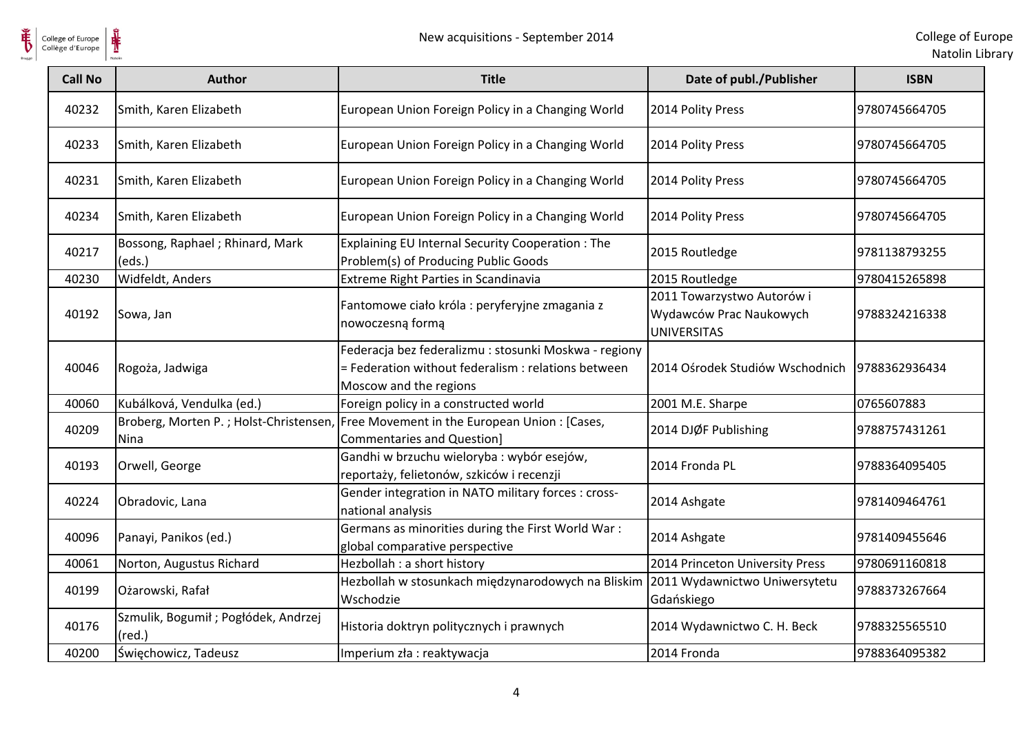

| <b>Call No</b> | <b>Author</b>                                           | <b>Title</b>                                                                                                                           | Date of publ./Publisher                                                     | <b>ISBN</b>   |
|----------------|---------------------------------------------------------|----------------------------------------------------------------------------------------------------------------------------------------|-----------------------------------------------------------------------------|---------------|
| 40232          | Smith, Karen Elizabeth                                  | European Union Foreign Policy in a Changing World                                                                                      | 2014 Polity Press                                                           | 9780745664705 |
| 40233          | Smith, Karen Elizabeth                                  | European Union Foreign Policy in a Changing World                                                                                      | 2014 Polity Press                                                           | 9780745664705 |
| 40231          | Smith, Karen Elizabeth                                  | European Union Foreign Policy in a Changing World                                                                                      | 2014 Polity Press                                                           | 9780745664705 |
| 40234          | Smith, Karen Elizabeth                                  | European Union Foreign Policy in a Changing World                                                                                      | 2014 Polity Press                                                           | 9780745664705 |
| 40217          | Bossong, Raphael; Rhinard, Mark<br>(eds.)               | Explaining EU Internal Security Cooperation: The<br>Problem(s) of Producing Public Goods                                               | 2015 Routledge                                                              | 9781138793255 |
| 40230          | Widfeldt, Anders                                        | Extreme Right Parties in Scandinavia                                                                                                   | 2015 Routledge                                                              | 9780415265898 |
| 40192          | Sowa, Jan                                               | Fantomowe ciało króla : peryferyjne zmagania z<br>nowoczesną formą                                                                     | 2011 Towarzystwo Autorów i<br>Wydawców Prac Naukowych<br><b>UNIVERSITAS</b> | 9788324216338 |
| 40046          | Rogoża, Jadwiga                                         | Federacja bez federalizmu : stosunki Moskwa - regiony<br>= Federation without federalism : relations between<br>Moscow and the regions | 2014 Ośrodek Studiów Wschodnich                                             | 9788362936434 |
| 40060          | Kubálková, Vendulka (ed.)                               | Foreign policy in a constructed world                                                                                                  | 2001 M.E. Sharpe                                                            | 0765607883    |
| 40209          | Broberg, Morten P.; Holst-Christensen,<br><b>Nina</b>   | Free Movement in the European Union : [Cases,<br><b>Commentaries and Question]</b>                                                     | 2014 DJØF Publishing                                                        | 9788757431261 |
| 40193          | Orwell, George                                          | Gandhi w brzuchu wieloryba : wybór esejów,<br>reportaży, felietonów, szkiców i recenzji                                                | 2014 Fronda PL                                                              | 9788364095405 |
| 40224          | Obradovic, Lana                                         | Gender integration in NATO military forces : cross-<br>national analysis                                                               | 2014 Ashgate                                                                | 9781409464761 |
| 40096          | Panayi, Panikos (ed.)                                   | Germans as minorities during the First World War:<br>global comparative perspective                                                    | 2014 Ashgate                                                                | 9781409455646 |
| 40061          | Norton, Augustus Richard                                | Hezbollah : a short history                                                                                                            | 2014 Princeton University Press                                             | 9780691160818 |
| 40199          | Ożarowski, Rafał                                        | Hezbollah w stosunkach międzynarodowych na Bliskim<br>Wschodzie                                                                        | 2011 Wydawnictwo Uniwersytetu<br>Gdańskiego                                 | 9788373267664 |
| 40176          | Szmulik, Bogumił ; Pogłódek, Andrzej<br>$(\text{red.})$ | Historia doktryn politycznych i prawnych                                                                                               | 2014 Wydawnictwo C. H. Beck                                                 | 9788325565510 |
| 40200          | Święchowicz, Tadeusz                                    | Imperium zła : reaktywacja                                                                                                             | 2014 Fronda                                                                 | 9788364095382 |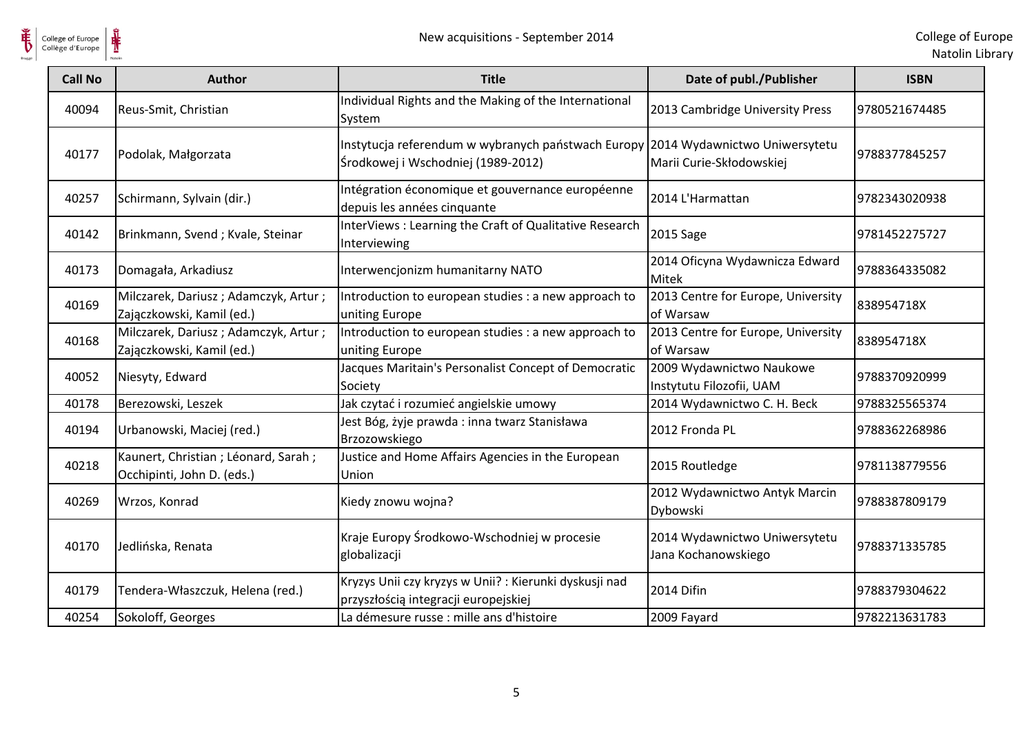

| <b>Call No</b> | <b>Author</b>                                                       | <b>Title</b>                                                                                                           | Date of publ./Publisher                              | <b>ISBN</b>   |
|----------------|---------------------------------------------------------------------|------------------------------------------------------------------------------------------------------------------------|------------------------------------------------------|---------------|
| 40094          | Reus-Smit, Christian                                                | Individual Rights and the Making of the International<br>System                                                        | 2013 Cambridge University Press                      | 9780521674485 |
| 40177          | Podolak, Małgorzata                                                 | Instytucja referendum w wybranych państwach Europy 2014 Wydawnictwo Uniwersytetu<br>Środkowej i Wschodniej (1989-2012) | Marii Curie-Skłodowskiej                             | 9788377845257 |
| 40257          | Schirmann, Sylvain (dir.)                                           | Intégration économique et gouvernance européenne<br>depuis les années cinquante                                        | 2014 L'Harmattan                                     | 9782343020938 |
| 40142          | Brinkmann, Svend; Kvale, Steinar                                    | InterViews : Learning the Craft of Qualitative Research<br>Interviewing                                                | 2015 Sage                                            | 9781452275727 |
| 40173          | Domagała, Arkadiusz                                                 | Interwencjonizm humanitarny NATO                                                                                       | 2014 Oficyna Wydawnicza Edward<br>Mitek              | 9788364335082 |
| 40169          | Milczarek, Dariusz; Adamczyk, Artur;<br>Zajączkowski, Kamil (ed.)   | Introduction to european studies : a new approach to<br>uniting Europe                                                 | 2013 Centre for Europe, University<br>of Warsaw      | 838954718X    |
| 40168          | Milczarek, Dariusz; Adamczyk, Artur;<br>Zajączkowski, Kamil (ed.)   | Introduction to european studies : a new approach to<br>uniting Europe                                                 | 2013 Centre for Europe, University<br>of Warsaw      | 838954718X    |
| 40052          | Niesyty, Edward                                                     | Jacques Maritain's Personalist Concept of Democratic<br>Society                                                        | 2009 Wydawnictwo Naukowe<br>Instytutu Filozofii, UAM | 9788370920999 |
| 40178          | Berezowski, Leszek                                                  | Jak czytać i rozumieć angielskie umowy                                                                                 | 2014 Wydawnictwo C. H. Beck                          | 9788325565374 |
| 40194          | Urbanowski, Maciej (red.)                                           | Jest Bóg, żyje prawda: inna twarz Stanisława<br>Brzozowskiego                                                          | 2012 Fronda PL                                       | 9788362268986 |
| 40218          | Kaunert, Christian ; Léonard, Sarah ;<br>Occhipinti, John D. (eds.) | Justice and Home Affairs Agencies in the European<br>Union                                                             | 2015 Routledge                                       | 9781138779556 |
| 40269          | Wrzos, Konrad                                                       | Kiedy znowu wojna?                                                                                                     | 2012 Wydawnictwo Antyk Marcin<br>Dybowski            | 9788387809179 |
| 40170          | Jedlińska, Renata                                                   | Kraje Europy Środkowo-Wschodniej w procesie<br>globalizacji                                                            | 2014 Wydawnictwo Uniwersytetu<br>Jana Kochanowskiego | 9788371335785 |
| 40179          | Tendera-Właszczuk, Helena (red.)                                    | Kryzys Unii czy kryzys w Unii?: Kierunki dyskusji nad<br>przyszłością integracji europejskiej                          | 2014 Difin                                           | 9788379304622 |
| 40254          | Sokoloff, Georges                                                   | La démesure russe : mille ans d'histoire                                                                               | 2009 Fayard                                          | 9782213631783 |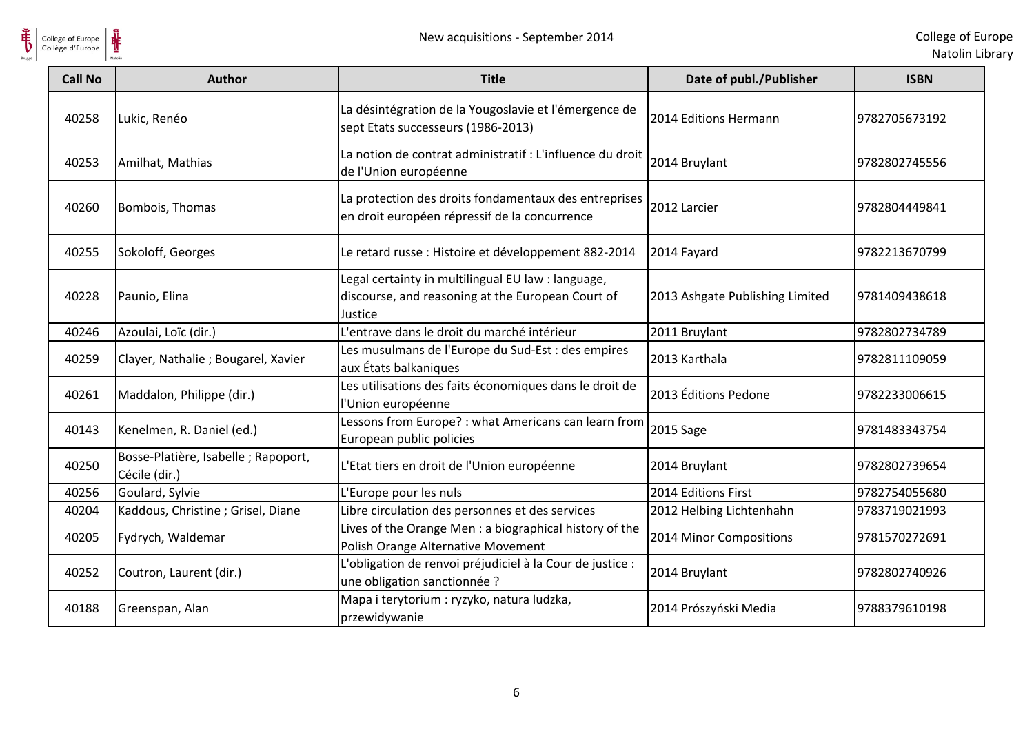

| <b>Call No</b> | <b>Author</b>                                         | <b>Title</b>                                                                                                       | Date of publ./Publisher         | <b>ISBN</b>   |
|----------------|-------------------------------------------------------|--------------------------------------------------------------------------------------------------------------------|---------------------------------|---------------|
| 40258          | Lukic, Renéo                                          | La désintégration de la Yougoslavie et l'émergence de<br>sept Etats successeurs (1986-2013)                        | 2014 Editions Hermann           | 9782705673192 |
| 40253          | Amilhat, Mathias                                      | La notion de contrat administratif : L'influence du droit<br>de l'Union européenne                                 | 2014 Bruylant                   | 9782802745556 |
| 40260          | Bombois, Thomas                                       | La protection des droits fondamentaux des entreprises<br>en droit européen répressif de la concurrence             | 2012 Larcier                    | 9782804449841 |
| 40255          | Sokoloff, Georges                                     | Le retard russe : Histoire et développement 882-2014                                                               | 2014 Fayard                     | 9782213670799 |
| 40228          | Paunio, Elina                                         | Legal certainty in multilingual EU law : language,<br>discourse, and reasoning at the European Court of<br>Justice | 2013 Ashgate Publishing Limited | 9781409438618 |
| 40246          | Azoulai, Loïc (dir.)                                  | L'entrave dans le droit du marché intérieur                                                                        | 2011 Bruylant                   | 9782802734789 |
| 40259          | Clayer, Nathalie; Bougarel, Xavier                    | Les musulmans de l'Europe du Sud-Est : des empires<br>aux États balkaniques                                        | 2013 Karthala                   | 9782811109059 |
| 40261          | Maddalon, Philippe (dir.)                             | Les utilisations des faits économiques dans le droit de<br>l'Union européenne                                      | 2013 Éditions Pedone            | 9782233006615 |
| 40143          | Kenelmen, R. Daniel (ed.)                             | Lessons from Europe? : what Americans can learn from<br>European public policies                                   | 2015 Sage                       | 9781483343754 |
| 40250          | Bosse-Platière, Isabelle ; Rapoport,<br>Cécile (dir.) | L'Etat tiers en droit de l'Union européenne                                                                        | 2014 Bruylant                   | 9782802739654 |
| 40256          | Goulard, Sylvie                                       | L'Europe pour les nuls                                                                                             | 2014 Editions First             | 9782754055680 |
| 40204          | Kaddous, Christine; Grisel, Diane                     | Libre circulation des personnes et des services                                                                    | 2012 Helbing Lichtenhahn        | 9783719021993 |
| 40205          | Fydrych, Waldemar                                     | Lives of the Orange Men : a biographical history of the<br>Polish Orange Alternative Movement                      | 2014 Minor Compositions         | 9781570272691 |
| 40252          | Coutron, Laurent (dir.)                               | L'obligation de renvoi préjudiciel à la Cour de justice :<br>une obligation sanctionnée ?                          | 2014 Bruylant                   | 9782802740926 |
| 40188          | Greenspan, Alan                                       | Mapa i terytorium : ryzyko, natura ludzka,<br>przewidywanie                                                        | 2014 Prószyński Media           | 9788379610198 |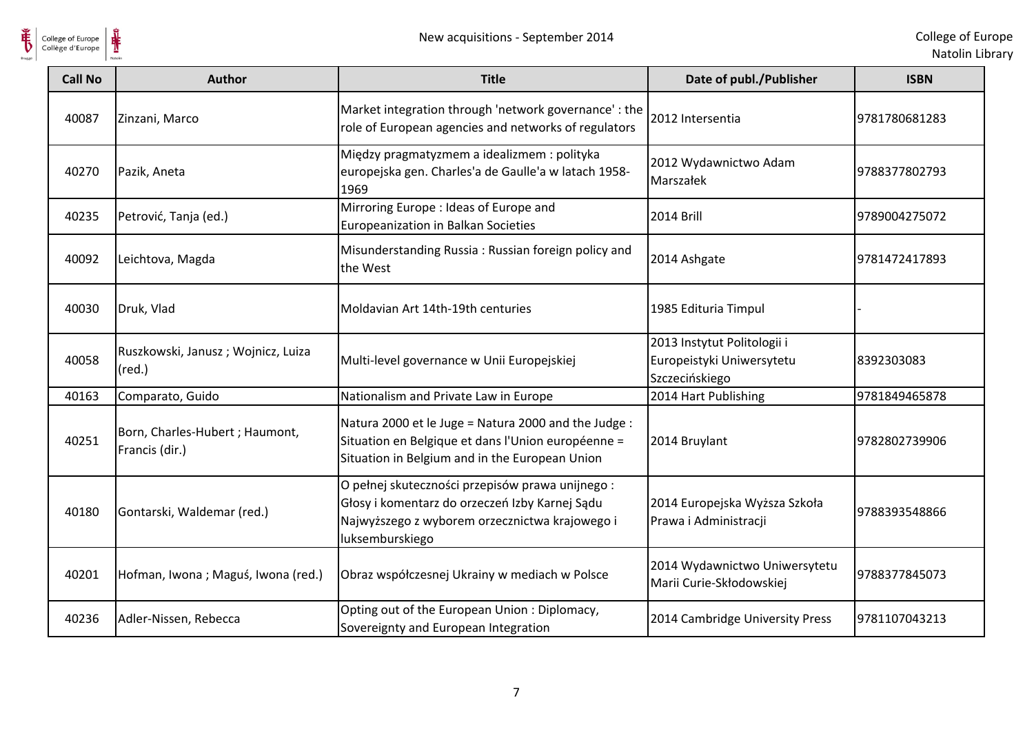

Natolin Library

| <b>Call No</b> | <b>Author</b>                                         | <b>Title</b>                                                                                                                                                           | Date of publ./Publisher                                                    | <b>ISBN</b>   |
|----------------|-------------------------------------------------------|------------------------------------------------------------------------------------------------------------------------------------------------------------------------|----------------------------------------------------------------------------|---------------|
| 40087          | Zinzani, Marco                                        | Market integration through 'network governance' : the<br>role of European agencies and networks of regulators                                                          | 2012 Intersentia                                                           | 9781780681283 |
| 40270          | Pazik, Aneta                                          | Między pragmatyzmem a idealizmem : polityka<br>europejska gen. Charles'a de Gaulle'a w latach 1958-<br>1969                                                            | 2012 Wydawnictwo Adam<br>Marszałek                                         | 9788377802793 |
| 40235          | Petrović, Tanja (ed.)                                 | Mirroring Europe : Ideas of Europe and<br>Europeanization in Balkan Societies                                                                                          | <b>2014 Brill</b>                                                          | 9789004275072 |
| 40092          | Leichtova, Magda                                      | Misunderstanding Russia: Russian foreign policy and<br>the West                                                                                                        | 2014 Ashgate                                                               | 9781472417893 |
| 40030          | Druk, Vlad                                            | Moldavian Art 14th-19th centuries                                                                                                                                      | 1985 Edituria Timpul                                                       |               |
| 40058          | Ruszkowski, Janusz; Wojnicz, Luiza<br>$(\text{red.})$ | Multi-level governance w Unii Europejskiej                                                                                                                             | 2013 Instytut Politologii i<br>Europeistyki Uniwersytetu<br>Szczecińskiego | 8392303083    |
| 40163          | Comparato, Guido                                      | Nationalism and Private Law in Europe                                                                                                                                  | 2014 Hart Publishing                                                       | 9781849465878 |
| 40251          | Born, Charles-Hubert ; Haumont,<br>Francis (dir.)     | Natura 2000 et le Juge = Natura 2000 and the Judge :<br>Situation en Belgique et dans l'Union européenne =<br>Situation in Belgium and in the European Union           | 2014 Bruylant                                                              | 9782802739906 |
| 40180          | Gontarski, Waldemar (red.)                            | O pełnej skuteczności przepisów prawa unijnego:<br>Głosy i komentarz do orzeczeń Izby Karnej Sądu<br>Najwyższego z wyborem orzecznictwa krajowego i<br>luksemburskiego | 2014 Europejska Wyższa Szkoła<br>Prawa i Administracji                     | 9788393548866 |
| 40201          | Hofman, Iwona; Maguś, Iwona (red.)                    | Obraz współczesnej Ukrainy w mediach w Polsce                                                                                                                          | 2014 Wydawnictwo Uniwersytetu<br>Marii Curie-Skłodowskiej                  | 9788377845073 |
| 40236          | Adler-Nissen, Rebecca                                 | Opting out of the European Union : Diplomacy,<br>Sovereignty and European Integration                                                                                  | 2014 Cambridge University Press                                            | 9781107043213 |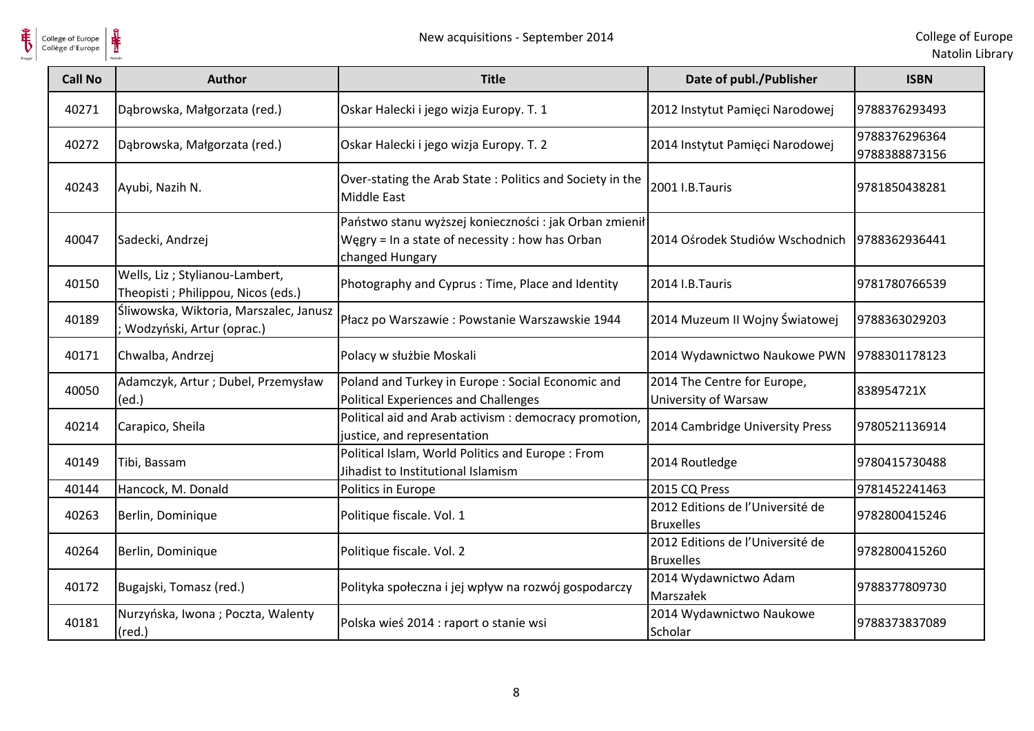

College of Europe

Natolin Library

| College of Europe<br>Collège d'Europe |                                                                       | New acquisitions - September 2014                                                                                            |                                                      | College of Eu<br>Natolin Lib   |
|---------------------------------------|-----------------------------------------------------------------------|------------------------------------------------------------------------------------------------------------------------------|------------------------------------------------------|--------------------------------|
| <b>Call No</b>                        | <b>Author</b>                                                         | <b>Title</b>                                                                                                                 | Date of publ./Publisher                              | <b>ISBN</b>                    |
| 40271                                 | Dąbrowska, Małgorzata (red.)                                          | Oskar Halecki i jego wizja Europy. T. 1                                                                                      | 2012 Instytut Pamięci Narodowej                      | 9788376293493                  |
| 40272                                 | Dąbrowska, Małgorzata (red.)                                          | Oskar Halecki i jego wizja Europy. T. 2                                                                                      | 2014 Instytut Pamięci Narodowej                      | 9788376296364<br>9788388873156 |
| 40243                                 | Ayubi, Nazih N.                                                       | Over-stating the Arab State: Politics and Society in the<br>Middle East                                                      | 2001 I.B.Tauris                                      | 9781850438281                  |
| 40047                                 | Sadecki, Andrzej                                                      | Państwo stanu wyższej konieczności : jak Orban zmienił<br>Węgry = In a state of necessity : how has Orban<br>changed Hungary | 2014 Ośrodek Studiów Wschodnich                      | 9788362936441                  |
| 40150                                 | Wells, Liz; Stylianou-Lambert,<br>Theopisti ; Philippou, Nicos (eds.) | Photography and Cyprus: Time, Place and Identity                                                                             | 2014 I.B.Tauris                                      | 9781780766539                  |
| 40189                                 | Śliwowska, Wiktoria, Marszalec, Janusz<br>Wodzyński, Artur (oprac.)   | Płacz po Warszawie: Powstanie Warszawskie 1944                                                                               | 2014 Muzeum II Wojny Światowej                       | 9788363029203                  |
| 40171                                 | Chwalba, Andrzej                                                      | Polacy w służbie Moskali                                                                                                     | 2014 Wydawnictwo Naukowe PWN                         | 9788301178123                  |
| 40050                                 | Adamczyk, Artur; Dubel, Przemysław<br>(ed.)                           | Poland and Turkey in Europe: Social Economic and<br>Political Experiences and Challenges                                     | 2014 The Centre for Europe,<br>University of Warsaw  | 838954721X                     |
| 40214                                 | Carapico, Sheila                                                      | Political aid and Arab activism : democracy promotion<br>justice, and representation                                         | 2014 Cambridge University Press                      | 9780521136914                  |
| 40149                                 | Tibi, Bassam                                                          | Political Islam, World Politics and Europe: From<br>Jihadist to Institutional Islamism                                       | 2014 Routledge                                       | 9780415730488                  |
| 40144                                 | Hancock, M. Donald                                                    | Politics in Europe                                                                                                           | 2015 CQ Press                                        | 9781452241463                  |
| 40263                                 | Berlin, Dominique                                                     | Politique fiscale. Vol. 1                                                                                                    | 2012 Editions de l'Université de<br><b>Bruxelles</b> | 9782800415246                  |
| 40264                                 | Berlin, Dominique                                                     | Politique fiscale. Vol. 2                                                                                                    | 2012 Editions de l'Université de<br><b>Bruxelles</b> | 9782800415260                  |
| 40172                                 | Bugajski, Tomasz (red.)                                               | Polityka społeczna i jej wpływ na rozwój gospodarczy                                                                         | 2014 Wydawnictwo Adam<br>Marszałek                   | 9788377809730                  |
| 40181                                 | Nurzyńska, Iwona; Poczta, Walenty<br>$(\text{red.})$                  | Polska wieś 2014 : raport o stanie wsi                                                                                       | 2014 Wydawnictwo Naukowe<br>Scholar                  | 9788373837089                  |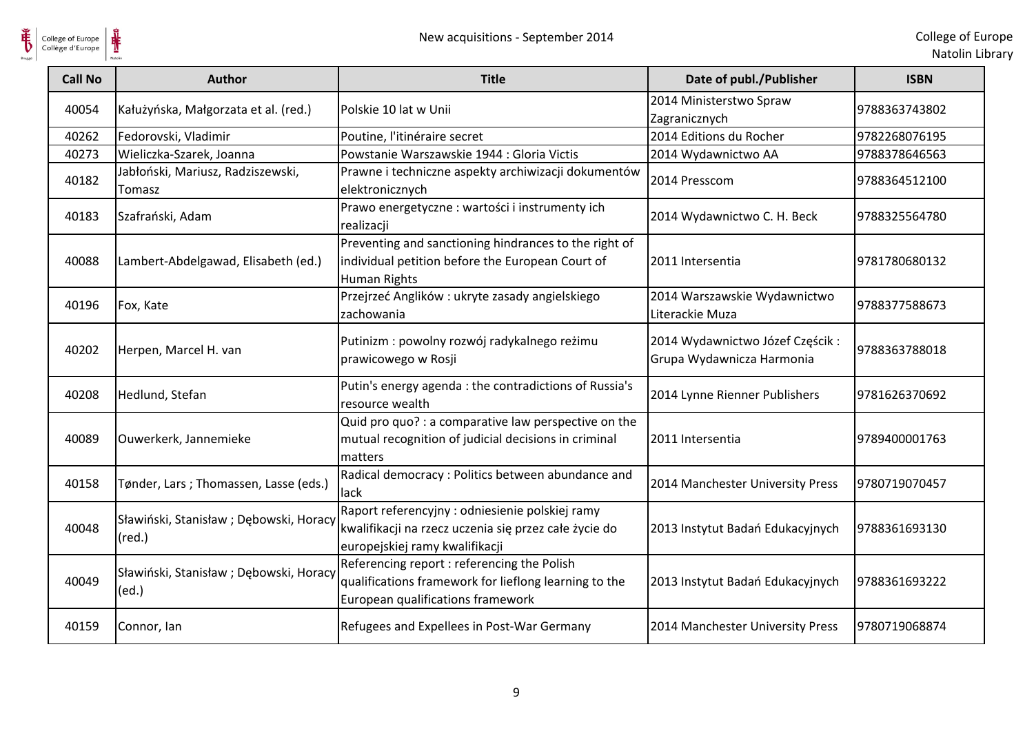

| <b>Call No</b> | <b>Author</b>                                             | <b>Title</b>                                                                                                                               | Date of publ./Publisher                                      | <b>ISBN</b>   |
|----------------|-----------------------------------------------------------|--------------------------------------------------------------------------------------------------------------------------------------------|--------------------------------------------------------------|---------------|
| 40054          | Kałużyńska, Małgorzata et al. (red.)                      | Polskie 10 lat w Unii                                                                                                                      | 2014 Ministerstwo Spraw<br>Zagranicznych                     | 9788363743802 |
| 40262          | Fedorovski, Vladimir                                      | Poutine, l'itinéraire secret                                                                                                               | 2014 Editions du Rocher                                      | 9782268076195 |
| 40273          | Wieliczka-Szarek, Joanna                                  | Powstanie Warszawskie 1944 : Gloria Victis                                                                                                 | 2014 Wydawnictwo AA                                          | 9788378646563 |
| 40182          | Jabłoński, Mariusz, Radziszewski,<br>Tomasz               | Prawne i techniczne aspekty archiwizacji dokumentów<br>elektronicznych                                                                     | 2014 Presscom                                                | 9788364512100 |
| 40183          | Szafrański, Adam                                          | Prawo energetyczne: wartości i instrumenty ich<br>realizacji                                                                               | 2014 Wydawnictwo C. H. Beck                                  | 9788325564780 |
| 40088          | Lambert-Abdelgawad, Elisabeth (ed.)                       | Preventing and sanctioning hindrances to the right of<br>individual petition before the European Court of<br><b>Human Rights</b>           | 2011 Intersentia                                             | 9781780680132 |
| 40196          | Fox, Kate                                                 | Przejrzeć Anglików: ukryte zasady angielskiego<br>zachowania                                                                               | 2014 Warszawskie Wydawnictwo<br>Literackie Muza              | 9788377588673 |
| 40202          | Herpen, Marcel H. van                                     | Putinizm : powolny rozwój radykalnego reżimu<br>prawicowego w Rosji                                                                        | 2014 Wydawnictwo Józef Częścik:<br>Grupa Wydawnicza Harmonia | 9788363788018 |
| 40208          | Hedlund, Stefan                                           | Putin's energy agenda : the contradictions of Russia's<br>resource wealth                                                                  | 2014 Lynne Rienner Publishers                                | 9781626370692 |
| 40089          | Ouwerkerk, Jannemieke                                     | Quid pro quo? : a comparative law perspective on the<br>mutual recognition of judicial decisions in criminal<br>matters                    | 2011 Intersentia                                             | 9789400001763 |
| 40158          | Tønder, Lars ; Thomassen, Lasse (eds.)                    | Radical democracy : Politics between abundance and<br>lack                                                                                 | 2014 Manchester University Press                             | 9780719070457 |
| 40048          | Sławiński, Stanisław; Dębowski, Horacy<br>$(\text{red.})$ | Raport referencyjny : odniesienie polskiej ramy<br>kwalifikacji na rzecz uczenia się przez całe życie do<br>europejskiej ramy kwalifikacji | 2013 Instytut Badań Edukacyjnych                             | 9788361693130 |
| 40049          | Sławiński, Stanisław; Dębowski, Horacy<br>(ed.)           | Referencing report : referencing the Polish<br>qualifications framework for lieflong learning to the<br>European qualifications framework  | 2013 Instytut Badań Edukacyjnych                             | 9788361693222 |
| 40159          | Connor, Ian                                               | Refugees and Expellees in Post-War Germany                                                                                                 | 2014 Manchester University Press                             | 9780719068874 |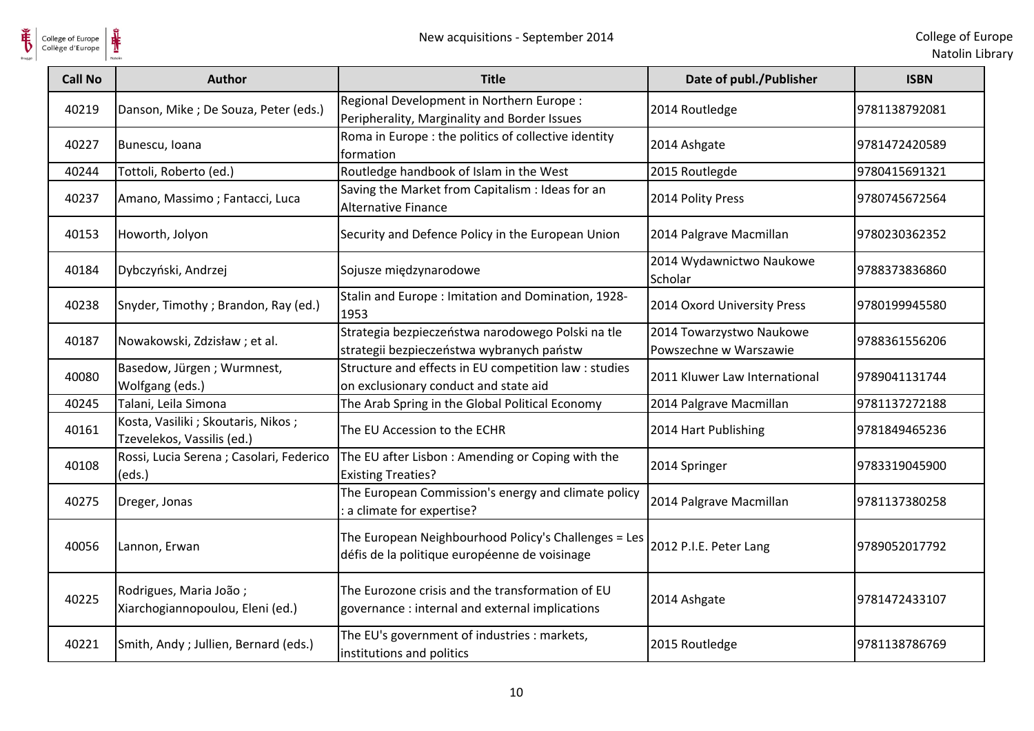

College of Europe

| <b>Call No</b> | <b>Author</b>                                                      | <b>Title</b>                                                                                          | Date of publ./Publisher                            | <b>ISBN</b>   |
|----------------|--------------------------------------------------------------------|-------------------------------------------------------------------------------------------------------|----------------------------------------------------|---------------|
| 40219          | Danson, Mike ; De Souza, Peter (eds.)                              | Regional Development in Northern Europe :<br>Peripherality, Marginality and Border Issues             | 2014 Routledge                                     | 9781138792081 |
| 40227          | Bunescu, Ioana                                                     | Roma in Europe : the politics of collective identity<br>formation                                     | 2014 Ashgate                                       | 9781472420589 |
| 40244          | Tottoli, Roberto (ed.)                                             | Routledge handbook of Islam in the West                                                               | 2015 Routlegde                                     | 9780415691321 |
| 40237          | Amano, Massimo; Fantacci, Luca                                     | Saving the Market from Capitalism : Ideas for an<br><b>Alternative Finance</b>                        | 2014 Polity Press                                  | 9780745672564 |
| 40153          | Howorth, Jolyon                                                    | Security and Defence Policy in the European Union                                                     | 2014 Palgrave Macmillan                            | 9780230362352 |
| 40184          | Dybczyński, Andrzej                                                | Sojusze międzynarodowe                                                                                | 2014 Wydawnictwo Naukowe<br>Scholar                | 9788373836860 |
| 40238          | Snyder, Timothy; Brandon, Ray (ed.)                                | Stalin and Europe: Imitation and Domination, 1928-<br>1953                                            | 2014 Oxord University Press                        | 9780199945580 |
| 40187          | Nowakowski, Zdzisław; et al.                                       | Strategia bezpieczeństwa narodowego Polski na tle<br>strategii bezpieczeństwa wybranych państw        | 2014 Towarzystwo Naukowe<br>Powszechne w Warszawie | 9788361556206 |
| 40080          | Basedow, Jürgen; Wurmnest,<br>Wolfgang (eds.)                      | Structure and effects in EU competition law : studies<br>on exclusionary conduct and state aid        | 2011 Kluwer Law International                      | 9789041131744 |
| 40245          | Talani, Leila Simona                                               | The Arab Spring in the Global Political Economy                                                       | 2014 Palgrave Macmillan                            | 9781137272188 |
| 40161          | Kosta, Vasiliki ; Skoutaris, Nikos ;<br>Tzevelekos, Vassilis (ed.) | The EU Accession to the ECHR                                                                          | 2014 Hart Publishing                               | 9781849465236 |
| 40108          | Rossi, Lucia Serena ; Casolari, Federico<br>(eds.)                 | The EU after Lisbon : Amending or Coping with the<br><b>Existing Treaties?</b>                        | 2014 Springer                                      | 9783319045900 |
| 40275          | Dreger, Jonas                                                      | The European Commission's energy and climate policy<br>a climate for expertise?                       | 2014 Palgrave Macmillan                            | 9781137380258 |
| 40056          | Lannon, Erwan                                                      | The European Neighbourhood Policy's Challenges = Les<br>défis de la politique européenne de voisinage | 2012 P.I.E. Peter Lang                             | 9789052017792 |
| 40225          | Rodrigues, Maria João;<br>Xiarchogiannopoulou, Eleni (ed.)         | The Eurozone crisis and the transformation of EU<br>governance : internal and external implications   | 2014 Ashgate                                       | 9781472433107 |
| 40221          | Smith, Andy; Jullien, Bernard (eds.)                               | The EU's government of industries : markets,<br>institutions and politics                             | 2015 Routledge                                     | 9781138786769 |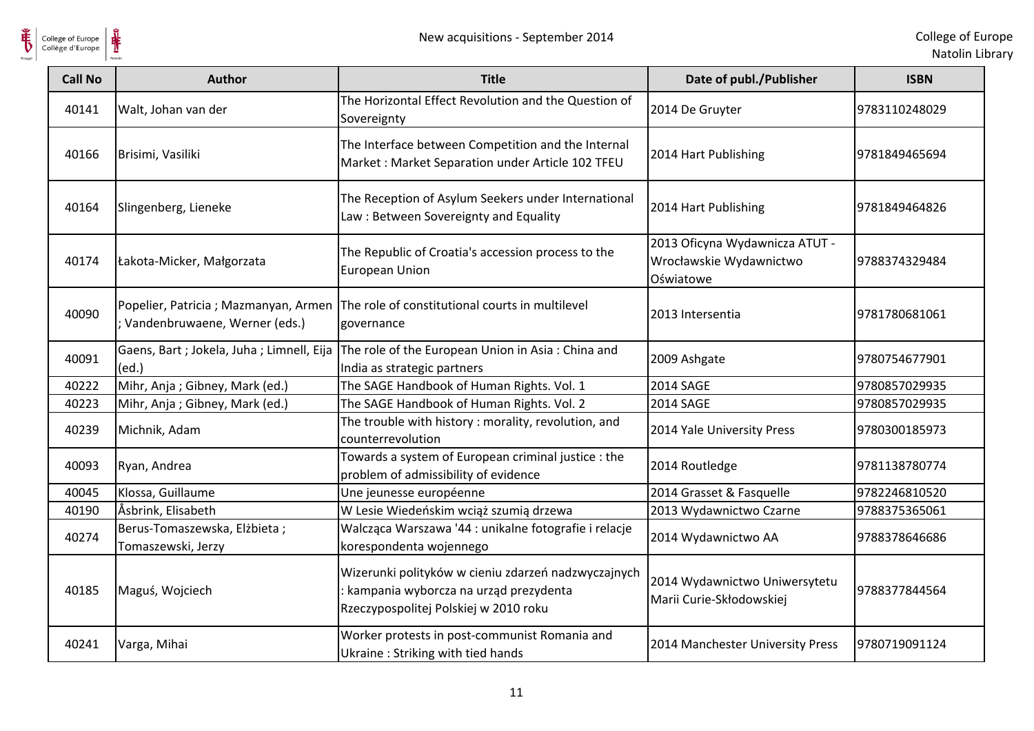

| <b>Call No</b> | <b>Author</b>                                      | <b>Title</b>                                                                                                                          | Date of publ./Publisher                                                | <b>ISBN</b>   |
|----------------|----------------------------------------------------|---------------------------------------------------------------------------------------------------------------------------------------|------------------------------------------------------------------------|---------------|
| 40141          | Walt, Johan van der                                | The Horizontal Effect Revolution and the Question of<br>Sovereignty                                                                   | 2014 De Gruyter                                                        | 9783110248029 |
| 40166          | Brisimi, Vasiliki                                  | The Interface between Competition and the Internal<br>Market: Market Separation under Article 102 TFEU                                | 2014 Hart Publishing                                                   | 9781849465694 |
| 40164          | Slingenberg, Lieneke                               | The Reception of Asylum Seekers under International<br>Law: Between Sovereignty and Equality                                          | 2014 Hart Publishing                                                   | 9781849464826 |
| 40174          | Łakota-Micker, Małgorzata                          | The Republic of Croatia's accession process to the<br><b>European Union</b>                                                           | 2013 Oficyna Wydawnicza ATUT -<br>Wrocławskie Wydawnictwo<br>Oświatowe | 9788374329484 |
| 40090          | ; Vandenbruwaene, Werner (eds.)                    | Popelier, Patricia ; Mazmanyan, Armen The role of constitutional courts in multilevel<br>governance                                   | 2013 Intersentia                                                       | 9781780681061 |
| 40091          | Gaens, Bart; Jokela, Juha; Limnell, Eija<br>(ed.)  | The role of the European Union in Asia: China and<br>India as strategic partners                                                      | 2009 Ashgate                                                           | 9780754677901 |
| 40222          | Mihr, Anja; Gibney, Mark (ed.)                     | The SAGE Handbook of Human Rights. Vol. 1                                                                                             | <b>2014 SAGE</b>                                                       | 9780857029935 |
| 40223          | Mihr, Anja; Gibney, Mark (ed.)                     | The SAGE Handbook of Human Rights. Vol. 2                                                                                             | 2014 SAGE                                                              | 9780857029935 |
| 40239          | Michnik, Adam                                      | The trouble with history: morality, revolution, and<br>counterrevolution                                                              | 2014 Yale University Press                                             | 9780300185973 |
| 40093          | Ryan, Andrea                                       | Towards a system of European criminal justice: the<br>problem of admissibility of evidence                                            | 2014 Routledge                                                         | 9781138780774 |
| 40045          | Klossa, Guillaume                                  | Une jeunesse européenne                                                                                                               | 2014 Grasset & Fasquelle                                               | 9782246810520 |
| 40190          | Åsbrink, Elisabeth                                 | W Lesie Wiedeńskim wciąż szumią drzewa                                                                                                | 2013 Wydawnictwo Czarne                                                | 9788375365061 |
| 40274          | Berus-Tomaszewska, Elżbieta;<br>Tomaszewski, Jerzy | Walcząca Warszawa '44 : unikalne fotografie i relacje<br>korespondenta wojennego                                                      | 2014 Wydawnictwo AA                                                    | 9788378646686 |
| 40185          | Maguś, Wojciech                                    | Wizerunki polityków w cieniu zdarzeń nadzwyczajnych<br>kampania wyborcza na urząd prezydenta<br>Rzeczypospolitej Polskiej w 2010 roku | 2014 Wydawnictwo Uniwersytetu<br>Marii Curie-Skłodowskiej              | 9788377844564 |
| 40241          | Varga, Mihai                                       | Worker protests in post-communist Romania and<br>Ukraine: Striking with tied hands                                                    | 2014 Manchester University Press                                       | 9780719091124 |